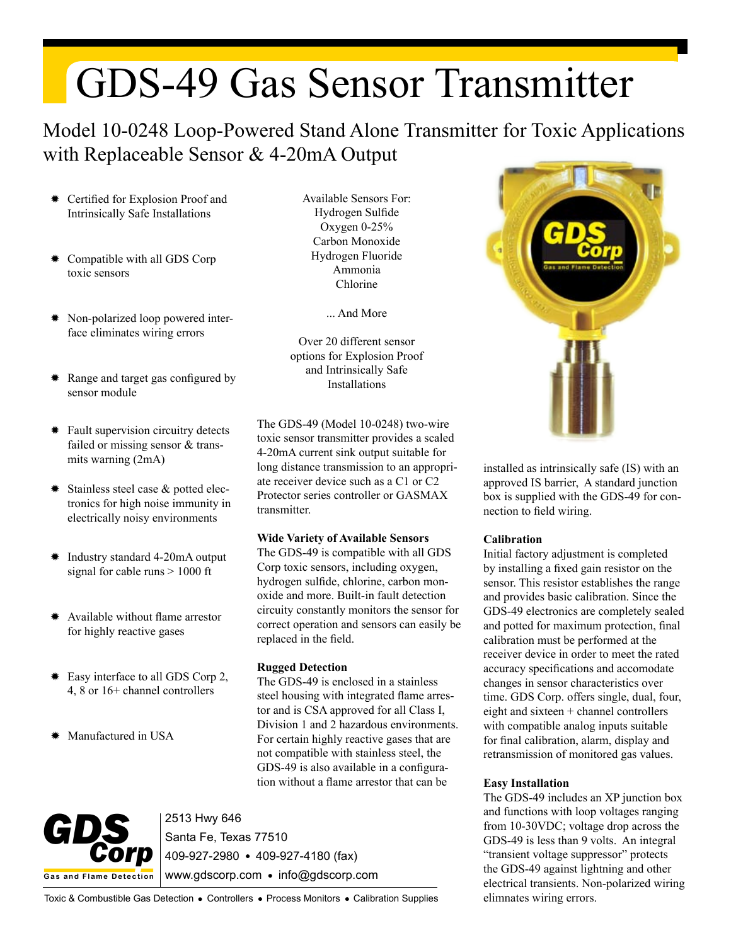# GDS-49 Gas Sensor Transmitter

## Model 10-0248 Loop-Powered Stand Alone Transmitter for Toxic Applications with Replaceable Sensor & 4-20mA Output

- ✹ Certified for Explosion Proof and Intrinsically Safe Installations
- Compatible with all GDS Corp toxic sensors
- ✹ Non-polarized loop powered interface eliminates wiring errors
- Range and target gas configured by **Example 2** Installations sensor module
- ✹ Fault supervision circuitry detects failed or missing sensor & transmits warning (2mA)
- ✹ Stainless steel case & potted electronics for high noise immunity in electrically noisy environments
- ✹ Industry standard 4-20mA output signal for cable runs > 1000 ft
- ✹ Available without flame arrestor for highly reactive gases
- ✹ Easy interface to all GDS Corp 2, 4, 8 or 16+ channel controllers
- Manufactured in USA

Available Sensors For: Hydrogen Sulfide Oxygen 0-25% Carbon Monoxide Hydrogen Fluoride Ammonia Chlorine

... And More

Over 20 different sensor options for Explosion Proof and Intrinsically Safe

The GDS-49 (Model 10-0248) two-wire toxic sensor transmitter provides a scaled 4-20mA current sink output suitable for long distance transmission to an appropriate receiver device such as a C1 or C2 Protector series controller or GASMAX transmitter.

#### **Wide Variety of Available Sensors**

The GDS-49 is compatible with all GDS Corp toxic sensors, including oxygen, hydrogen sulfide, chlorine, carbon monoxide and more. Built-in fault detection circuity constantly monitors the sensor for correct operation and sensors can easily be replaced in the field.

### **Rugged Detection**

The GDS-49 is enclosed in a stainless steel housing with integrated flame arrestor and is CSA approved for all Class I, Division 1 and 2 hazardous environments. For certain highly reactive gases that are not compatible with stainless steel, the GDS-49 is also available in a configuration without a flame arrestor that can be



2513 Hwy 646 Santa Fe, Texas 77510 409-927-2980 409-927-4180 (fax) www.gdscorp.com · info@gdscorp.com



installed as intrinsically safe (IS) with an approved IS barrier, A standard junction box is supplied with the GDS-49 for connection to field wiring.

### **Calibration**

Initial factory adjustment is completed by installing a fixed gain resistor on the sensor. This resistor establishes the range and provides basic calibration. Since the GDS-49 electronics are completely sealed and potted for maximum protection, final calibration must be performed at the receiver device in order to meet the rated accuracy specifications and accomodate changes in sensor characteristics over time. GDS Corp. offers single, dual, four, eight and sixteen + channel controllers with compatible analog inputs suitable for final calibration, alarm, display and retransmission of monitored gas values.

### **Easy Installation**

The GDS-49 includes an XP junction box and functions with loop voltages ranging from 10-30VDC; voltage drop across the GDS-49 is less than 9 volts. An integral "transient voltage suppressor" protects the GDS-49 against lightning and other electrical transients. Non-polarized wiring elimnates wiring errors.